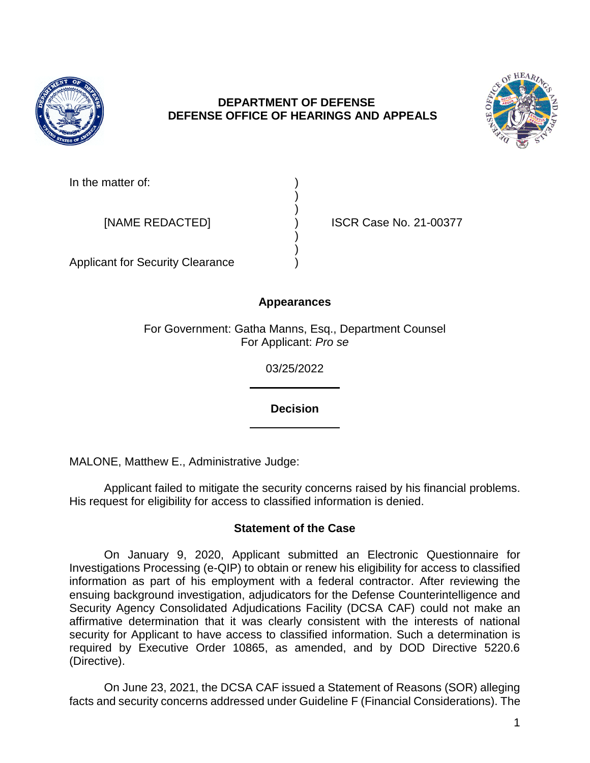

# **DEPARTMENT OF DEFENSE DEFENSE OFFICE OF HEARINGS AND APPEALS**

) )

) )



In the matter of:

[NAME REDACTED] ) ISCR Case No. 21-00377

Applicant for Security Clearance )

# **Appearances**

For Government: Gatha Manns, Esq., Department Counsel For Applicant: *Pro se* 

03/25/2022

**Decision** 

MALONE, Matthew E., Administrative Judge:

 Applicant failed to mitigate the security concerns raised by his financial problems. His request for eligibility for access to classified information is denied.

# **Statement of the Case**

 On January 9, 2020, Applicant submitted an Electronic Questionnaire for Investigations Processing (e-QIP) to obtain or renew his eligibility for access to classified information as part of his employment with a federal contractor. After reviewing the ensuing background investigation, adjudicators for the Defense Counterintelligence and Security Agency Consolidated Adjudications Facility (DCSA CAF) could not make an affirmative determination that it was clearly consistent with the interests of national security for Applicant to have access to classified information. Such a determination is required by Executive Order 10865, as amended, and by DOD Directive 5220.6 (Directive).

 On June 23, 2021, the DCSA CAF issued a Statement of Reasons (SOR) alleging facts and security concerns addressed under Guideline F (Financial Considerations). The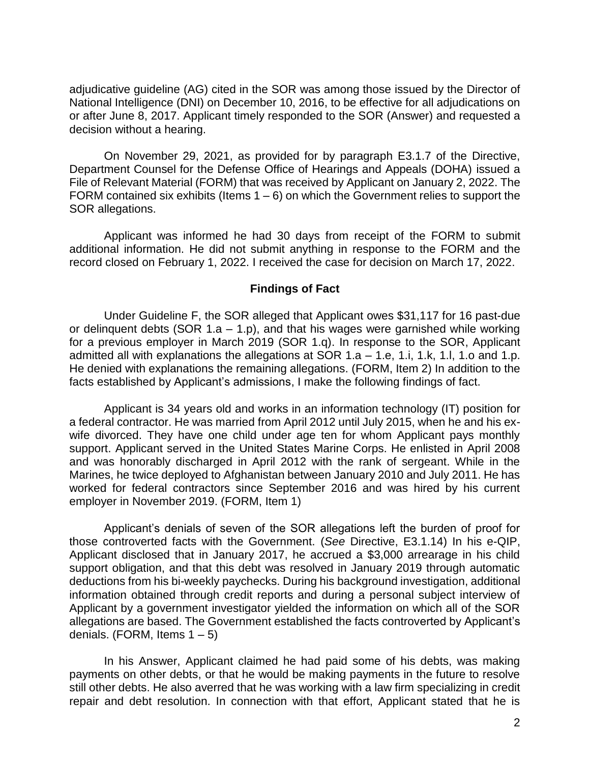adjudicative guideline (AG) cited in the SOR was among those issued by the Director of National Intelligence (DNI) on December 10, 2016, to be effective for all adjudications on or after June 8, 2017. Applicant timely responded to the SOR (Answer) and requested a decision without a hearing.

 On November 29, 2021, as provided for by paragraph E3.1.7 of the Directive, Department Counsel for the Defense Office of Hearings and Appeals (DOHA) issued a File of Relevant Material (FORM) that was received by Applicant on January 2, 2022. The FORM contained six exhibits (Items  $1 - 6$ ) on which the Government relies to support the SOR allegations.

 Applicant was informed he had 30 days from receipt of the FORM to submit additional information. He did not submit anything in response to the FORM and the record closed on February 1, 2022. I received the case for decision on March 17, 2022.

## **Findings of Fact**

 or delinquent debts (SOR 1.a – 1.p), and that his wages were garnished while working for a previous employer in March 2019 (SOR 1.q). In response to the SOR, Applicant admitted all with explanations the allegations at SOR 1.a – 1.e, 1.i, 1.k, 1.l, 1.o and 1.p. He denied with explanations the remaining allegations. (FORM, Item 2) In addition to the Under Guideline F, the SOR alleged that Applicant owes \$31,117 for 16 past-due facts established by Applicant's admissions, I make the following findings of fact.

 Applicant is 34 years old and works in an information technology (IT) position for a federal contractor. He was married from April 2012 until July 2015, when he and his ex- wife divorced. They have one child under age ten for whom Applicant pays monthly support. Applicant served in the United States Marine Corps. He enlisted in April 2008 and was honorably discharged in April 2012 with the rank of sergeant. While in the Marines, he twice deployed to Afghanistan between January 2010 and July 2011. He has worked for federal contractors since September 2016 and was hired by his current employer in November 2019. (FORM, Item 1)

 Applicant's denials of seven of the SOR allegations left the burden of proof for those controverted facts with the Government. (*See* Directive, E3.1.14) In his e-QIP, Applicant disclosed that in January 2017, he accrued a \$3,000 arrearage in his child support obligation, and that this debt was resolved in January 2019 through automatic information obtained through credit reports and during a personal subject interview of Applicant by a government investigator yielded the information on which all of the SOR allegations are based. The Government established the facts controverted by Applicant's deductions from his bi-weekly paychecks. During his background investigation, additional denials. (FORM, Items  $1 - 5$ )

 In his Answer, Applicant claimed he had paid some of his debts, was making payments on other debts, or that he would be making payments in the future to resolve still other debts. He also averred that he was working with a law firm specializing in credit repair and debt resolution. In connection with that effort, Applicant stated that he is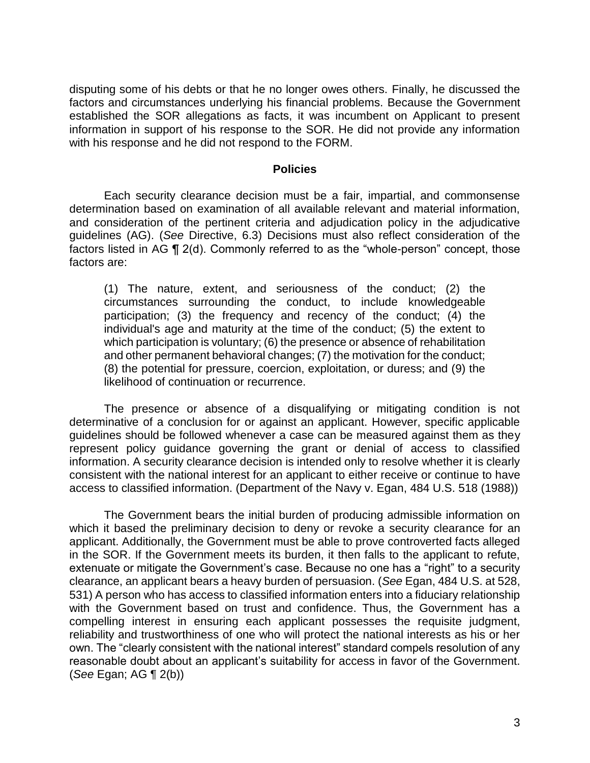disputing some of his debts or that he no longer owes others. Finally, he discussed the factors and circumstances underlying his financial problems. Because the Government established the SOR allegations as facts, it was incumbent on Applicant to present information in support of his response to the SOR. He did not provide any information with his response and he did not respond to the FORM.

#### **Policies**

 Each security clearance decision must be a fair, impartial, and commonsense determination based on examination of all available relevant and material information, and consideration of the pertinent criteria and adjudication policy in the adjudicative guidelines (AG). (*See* Directive, 6.3) Decisions must also reflect consideration of the factors listed in AG ¶ 2(d). Commonly referred to as the "whole-person" concept, those factors are:

(1) The nature, extent, and seriousness of the conduct; (2) the circumstances surrounding the conduct, to include knowledgeable participation; (3) the frequency and recency of the conduct; (4) the individual's age and maturity at the time of the conduct; (5) the extent to which participation is voluntary; (6) the presence or absence of rehabilitation and other permanent behavioral changes; (7) the motivation for the conduct; (8) the potential for pressure, coercion, exploitation, or duress; and (9) the likelihood of continuation or recurrence.

 The presence or absence of a disqualifying or mitigating condition is not determinative of a conclusion for or against an applicant. However, specific applicable guidelines should be followed whenever a case can be measured against them as they represent policy guidance governing the grant or denial of access to classified information. A security clearance decision is intended only to resolve whether it is clearly consistent with the national interest for an applicant to either receive or continue to have access to classified information. (Department of the Navy v. Egan, 484 U.S. 518 (1988))

The Government bears the initial burden of producing admissible information on which it based the preliminary decision to deny or revoke a security clearance for an applicant. Additionally, the Government must be able to prove controverted facts alleged in the SOR. If the Government meets its burden, it then falls to the applicant to refute, extenuate or mitigate the Government's case. Because no one has a "right" to a security clearance, an applicant bears a heavy burden of persuasion. (*See* Egan, 484 U.S. at 528, 531) A person who has access to classified information enters into a fiduciary relationship with the Government based on trust and confidence. Thus, the Government has a compelling interest in ensuring each applicant possesses the requisite judgment, reliability and trustworthiness of one who will protect the national interests as his or her own. The "clearly consistent with the national interest" standard compels resolution of any reasonable doubt about an applicant's suitability for access in favor of the Government. (*See* Egan; AG ¶ 2(b))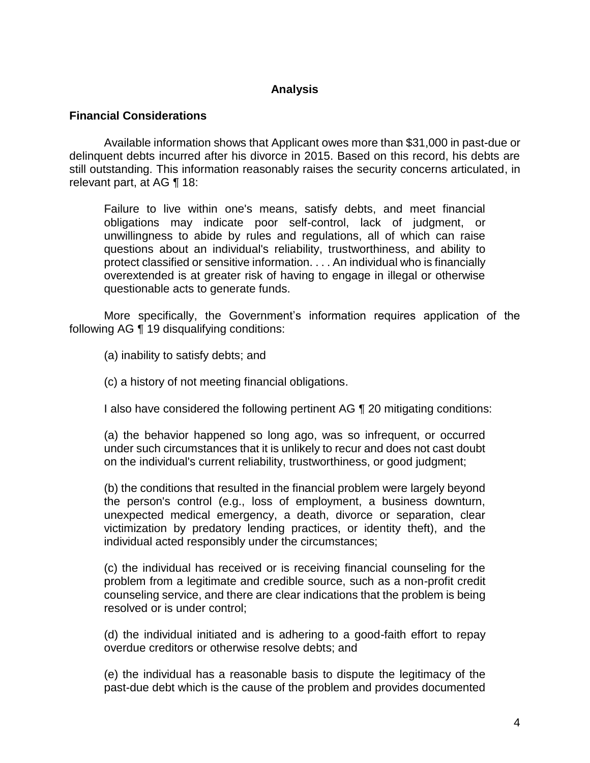## **Analysis**

### **Financial Considerations**

 Available information shows that Applicant owes more than \$31,000 in past-due or delinquent debts incurred after his divorce in 2015. Based on this record, his debts are still outstanding. This information reasonably raises the security concerns articulated, in relevant part, at AG ¶ 18:

Failure to live within one's means, satisfy debts, and meet financial obligations may indicate poor self-control, lack of judgment, or unwillingness to abide by rules and regulations, all of which can raise questions about an individual's reliability, trustworthiness, and ability to protect classified or sensitive information. . . . An individual who is financially overextended is at greater risk of having to engage in illegal or otherwise questionable acts to generate funds.

 More specifically, the Government's information requires application of the following AG ¶ 19 disqualifying conditions:

(a) inability to satisfy debts; and

(c) a history of not meeting financial obligations.

I also have considered the following pertinent AG 1 20 mitigating conditions:

(a) the behavior happened so long ago, was so infrequent, or occurred under such circumstances that it is unlikely to recur and does not cast doubt on the individual's current reliability, trustworthiness, or good judgment;

(b) the conditions that resulted in the financial problem were largely beyond the person's control (e.g., loss of employment, a business downturn, unexpected medical emergency, a death, divorce or separation, clear victimization by predatory lending practices, or identity theft), and the individual acted responsibly under the circumstances;

(c) the individual has received or is receiving financial counseling for the problem from a legitimate and credible source, such as a non-profit credit counseling service, and there are clear indications that the problem is being resolved or is under control;

(d) the individual initiated and is adhering to a good-faith effort to repay overdue creditors or otherwise resolve debts; and

(e) the individual has a reasonable basis to dispute the legitimacy of the past-due debt which is the cause of the problem and provides documented